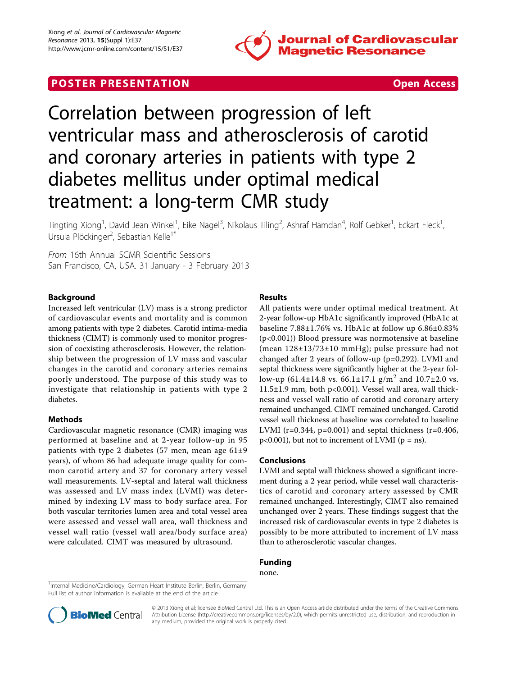

# **POSTER PRESENTATION CONSUMING THE SECOND CONSUMING THE SECOND CONSUMING THE SECOND CONSUMING THE SECOND CONSUMING THE SECOND CONSUMING THE SECOND CONSUMING THE SECOND CONSUMING THE SECOND CONSUMING THE SECOND CONSUMING**



# Correlation between progression of left ventricular mass and atherosclerosis of carotid and coronary arteries in patients with type 2 diabetes mellitus under optimal medical treatment: a long-term CMR study

Tingting Xiong<sup>1</sup>, David Jean Winkel<sup>1</sup>, Eike Nagel<sup>3</sup>, Nikolaus Tiling<sup>2</sup>, Ashraf Hamdan<sup>4</sup>, Rolf Gebker<sup>1</sup>, Eckart Fleck<sup>1</sup> , Ursula Plöckinger<sup>2</sup>, Sebastian Kelle<sup>1\*</sup>

From 16th Annual SCMR Scientific Sessions San Francisco, CA, USA. 31 January - 3 February 2013

## Background

Increased left ventricular (LV) mass is a strong predictor of cardiovascular events and mortality and is common among patients with type 2 diabetes. Carotid intima-media thickness (CIMT) is commonly used to monitor progression of coexisting atherosclerosis. However, the relationship between the progression of LV mass and vascular changes in the carotid and coronary arteries remains poorly understood. The purpose of this study was to investigate that relationship in patients with type 2 diabetes.

#### Methods

Cardiovascular magnetic resonance (CMR) imaging was performed at baseline and at 2-year follow-up in 95 patients with type 2 diabetes (57 men, mean age 61±9 years), of whom 86 had adequate image quality for common carotid artery and 37 for coronary artery vessel wall measurements. LV-septal and lateral wall thickness was assessed and LV mass index (LVMI) was determined by indexing LV mass to body surface area. For both vascular territories lumen area and total vessel area were assessed and vessel wall area, wall thickness and vessel wall ratio (vessel wall area/body surface area) were calculated. CIMT was measured by ultrasound.

## Results

All patients were under optimal medical treatment. At 2-year follow-up HbA1c significantly improved (HbA1c at baseline 7.88±1.76% vs. HbA1c at follow up 6.86±0.83% (p<0.001)) Blood pressure was normotensive at baseline (mean 128±13/73±10 mmHg); pulse pressure had not changed after 2 years of follow-up (p=0.292). LVMI and septal thickness were significantly higher at the 2-year follow-up (61.4±14.8 vs. 66.1±17.1 g/m<sup>2</sup> and 10.7±2.0 vs. 11.5±1.9 mm, both p<0.001). Vessel wall area, wall thickness and vessel wall ratio of carotid and coronary artery remained unchanged. CIMT remained unchanged. Carotid vessel wall thickness at baseline was correlated to baseline LVMI ( $r=0.344$ ,  $p=0.001$ ) and septal thickness ( $r=0.406$ ,  $p<0.001$ ), but not to increment of LVMI ( $p = ns$ ).

#### Conclusions

LVMI and septal wall thickness showed a significant increment during a 2 year period, while vessel wall characteristics of carotid and coronary artery assessed by CMR remained unchanged. Interestingly, CIMT also remained unchanged over 2 years. These findings suggest that the increased risk of cardiovascular events in type 2 diabetes is possibly to be more attributed to increment of LV mass than to atherosclerotic vascular changes.

## Funding

none.

<sup>&</sup>lt;sup>1</sup>Internal Medicine/Cardiology, German Heart Institute Berlin, Berlin, Germany Full list of author information is available at the end of the article



© 2013 Xiong et al; licensee BioMed Central Ltd. This is an Open Access article distributed under the terms of the Creative Commons Attribution License [\(http://creativecommons.org/licenses/by/2.0](http://creativecommons.org/licenses/by/2.0)), which permits unrestricted use, distribution, and reproduction in any medium, provided the original work is properly cited.